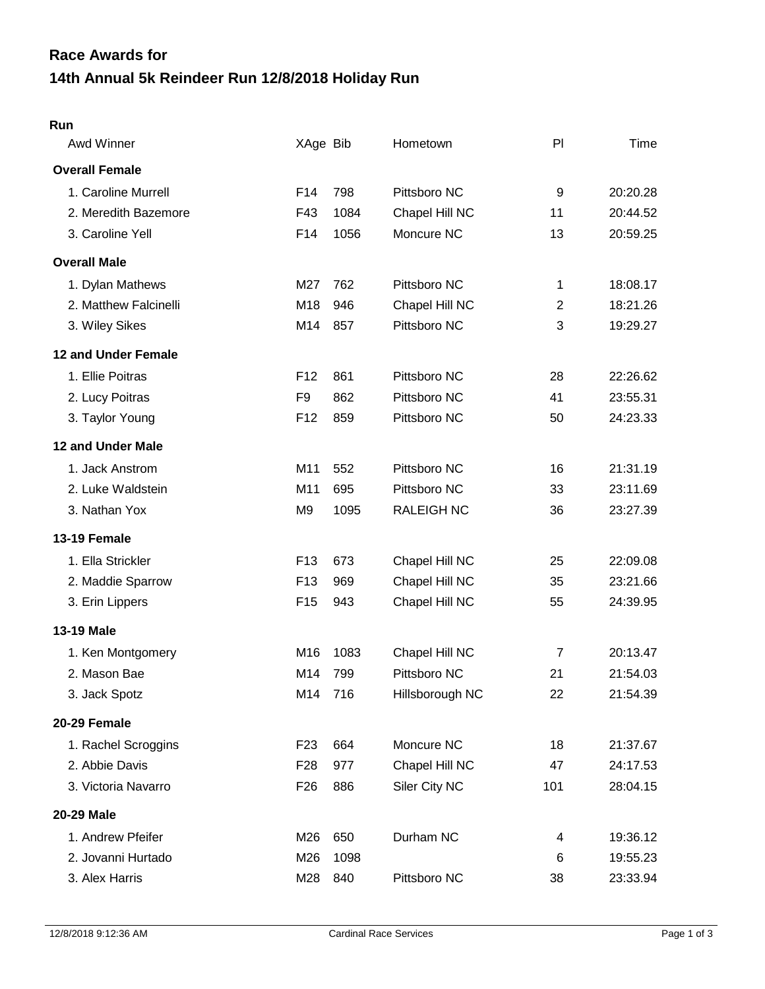## **14th Annual 5k Reindeer Run 12/8/2018 Holiday Run Race Awards for**

## **Run**

| Awd Winner            | XAge Bib        |      | Hometown          | PI             | Time     |
|-----------------------|-----------------|------|-------------------|----------------|----------|
| <b>Overall Female</b> |                 |      |                   |                |          |
| 1. Caroline Murrell   | F <sub>14</sub> | 798  | Pittsboro NC      | 9              | 20:20.28 |
| 2. Meredith Bazemore  | F43             | 1084 | Chapel Hill NC    | 11             | 20:44.52 |
| 3. Caroline Yell      | F14             | 1056 | Moncure NC        | 13             | 20:59.25 |
| <b>Overall Male</b>   |                 |      |                   |                |          |
| 1. Dylan Mathews      | M27             | 762  | Pittsboro NC      | 1              | 18:08.17 |
| 2. Matthew Falcinelli | M18             | 946  | Chapel Hill NC    | $\overline{2}$ | 18:21.26 |
| 3. Wiley Sikes        | M14             | 857  | Pittsboro NC      | 3              | 19:29.27 |
| 12 and Under Female   |                 |      |                   |                |          |
| 1. Ellie Poitras      | F <sub>12</sub> | 861  | Pittsboro NC      | 28             | 22:26.62 |
| 2. Lucy Poitras       | F <sub>9</sub>  | 862  | Pittsboro NC      | 41             | 23:55.31 |
| 3. Taylor Young       | F <sub>12</sub> | 859  | Pittsboro NC      | 50             | 24:23.33 |
| 12 and Under Male     |                 |      |                   |                |          |
| 1. Jack Anstrom       | M11             | 552  | Pittsboro NC      | 16             | 21:31.19 |
| 2. Luke Waldstein     | M11             | 695  | Pittsboro NC      | 33             | 23:11.69 |
| 3. Nathan Yox         | M <sub>9</sub>  | 1095 | <b>RALEIGH NC</b> | 36             | 23:27.39 |
| 13-19 Female          |                 |      |                   |                |          |
| 1. Ella Strickler     | F <sub>13</sub> | 673  | Chapel Hill NC    | 25             | 22:09.08 |
| 2. Maddie Sparrow     | F <sub>13</sub> | 969  | Chapel Hill NC    | 35             | 23:21.66 |
| 3. Erin Lippers       | F <sub>15</sub> | 943  | Chapel Hill NC    | 55             | 24:39.95 |
| <b>13-19 Male</b>     |                 |      |                   |                |          |
| 1. Ken Montgomery     | M16             | 1083 | Chapel Hill NC    | $\overline{7}$ | 20:13.47 |
| 2. Mason Bae          | M14             | 799  | Pittsboro NC      | 21             | 21:54.03 |
| 3. Jack Spotz         | M14             | 716  | Hillsborough NC   | 22             | 21:54.39 |
| 20-29 Female          |                 |      |                   |                |          |
| 1. Rachel Scroggins   | F <sub>23</sub> | 664  | Moncure NC        | 18             | 21:37.67 |
| 2. Abbie Davis        | F <sub>28</sub> | 977  | Chapel Hill NC    | 47             | 24:17.53 |
| 3. Victoria Navarro   | F <sub>26</sub> | 886  | Siler City NC     | 101            | 28:04.15 |
| 20-29 Male            |                 |      |                   |                |          |
| 1. Andrew Pfeifer     | M26             | 650  | Durham NC         | 4              | 19:36.12 |
| 2. Jovanni Hurtado    | M26             | 1098 |                   | 6              | 19:55.23 |
| 3. Alex Harris        | M28             | 840  | Pittsboro NC      | 38             | 23:33.94 |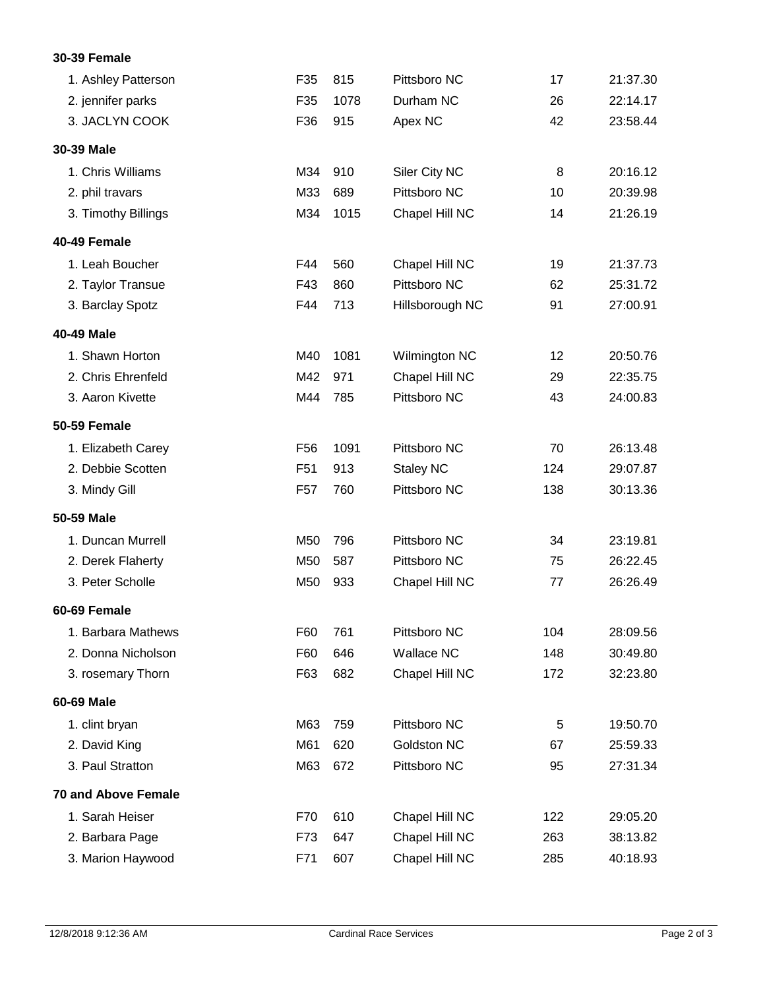## **30-39 Female**

| 1. Ashley Patterson        | F35             | 815  | Pittsboro NC      | 17  | 21:37.30 |
|----------------------------|-----------------|------|-------------------|-----|----------|
| 2. jennifer parks          | F35             | 1078 | Durham NC         | 26  | 22:14.17 |
| 3. JACLYN COOK             | F36             | 915  | Apex NC           | 42  | 23:58.44 |
|                            |                 |      |                   |     |          |
| 30-39 Male                 |                 |      |                   |     |          |
| 1. Chris Williams          | M34             | 910  | Siler City NC     | 8   | 20:16.12 |
| 2. phil travars            | M33             | 689  | Pittsboro NC      | 10  | 20:39.98 |
| 3. Timothy Billings        | M34             | 1015 | Chapel Hill NC    | 14  | 21:26.19 |
| 40-49 Female               |                 |      |                   |     |          |
| 1. Leah Boucher            | F44             | 560  | Chapel Hill NC    | 19  | 21:37.73 |
| 2. Taylor Transue          | F43             | 860  | Pittsboro NC      | 62  | 25:31.72 |
| 3. Barclay Spotz           | F44             | 713  | Hillsborough NC   | 91  | 27:00.91 |
| 40-49 Male                 |                 |      |                   |     |          |
| 1. Shawn Horton            | M40             | 1081 | Wilmington NC     | 12  | 20:50.76 |
| 2. Chris Ehrenfeld         | M42             | 971  | Chapel Hill NC    | 29  | 22:35.75 |
| 3. Aaron Kivette           | M44             | 785  | Pittsboro NC      | 43  | 24:00.83 |
| 50-59 Female               |                 |      |                   |     |          |
| 1. Elizabeth Carey         | F <sub>56</sub> | 1091 | Pittsboro NC      | 70  | 26:13.48 |
| 2. Debbie Scotten          | F51             | 913  | <b>Staley NC</b>  | 124 | 29:07.87 |
| 3. Mindy Gill              | F <sub>57</sub> | 760  | Pittsboro NC      | 138 | 30:13.36 |
| 50-59 Male                 |                 |      |                   |     |          |
| 1. Duncan Murrell          | M50             | 796  | Pittsboro NC      | 34  | 23:19.81 |
| 2. Derek Flaherty          | M50             | 587  | Pittsboro NC      | 75  | 26:22.45 |
| 3. Peter Scholle           | M50             | 933  | Chapel Hill NC    | 77  | 26:26.49 |
| 60-69 Female               |                 |      |                   |     |          |
| 1. Barbara Mathews         | F60             | 761  | Pittsboro NC      | 104 | 28:09.56 |
| 2. Donna Nicholson         | F60             | 646  | <b>Wallace NC</b> | 148 | 30:49.80 |
| 3. rosemary Thorn          | F63             | 682  | Chapel Hill NC    | 172 | 32:23.80 |
| 60-69 Male                 |                 |      |                   |     |          |
| 1. clint bryan             | M63             | 759  | Pittsboro NC      | 5   | 19:50.70 |
| 2. David King              | M61             | 620  | Goldston NC       | 67  | 25:59.33 |
| 3. Paul Stratton           | M63             | 672  | Pittsboro NC      | 95  | 27:31.34 |
| <b>70 and Above Female</b> |                 |      |                   |     |          |
| 1. Sarah Heiser            | F70             | 610  | Chapel Hill NC    | 122 | 29:05.20 |
| 2. Barbara Page            | F73             | 647  | Chapel Hill NC    | 263 | 38:13.82 |
| 3. Marion Haywood          | F71             | 607  | Chapel Hill NC    | 285 | 40:18.93 |